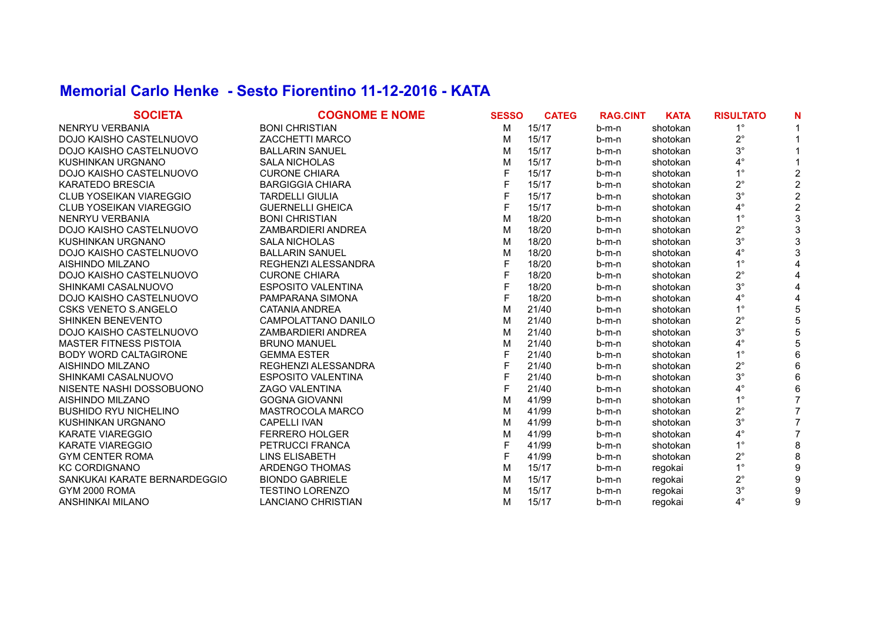## **Memorial Carlo Henke - Sesto Fiorentino 11-12-2016 - KATA**

| <b>SOCIETA</b>                 | <b>COGNOME E NOME</b>     | <b>SESSO</b> | <b>CATEG</b> | <b>RAG.CINT</b> | <b>KATA</b> | <b>RISULTATO</b> |   |
|--------------------------------|---------------------------|--------------|--------------|-----------------|-------------|------------------|---|
| <b>NENRYU VERBANIA</b>         | <b>BONI CHRISTIAN</b>     | M            | 15/17        | b-m-n           | shotokan    | $1^{\circ}$      |   |
| DOJO KAISHO CASTELNUOVO        | ZACCHETTI MARCO           | м            | 15/17        | $b-m-n$         | shotokan    | $2^{\circ}$      |   |
| DOJO KAISHO CASTELNUOVO        | <b>BALLARIN SANUEL</b>    | м            | 15/17        | $b-m-n$         | shotokan    | $3^{\circ}$      |   |
| KUSHINKAN URGNANO              | <b>SALA NICHOLAS</b>      | M            | 15/17        | b-m-n           | shotokan    | $4^{\circ}$      |   |
| DOJO KAISHO CASTELNUOVO        | <b>CURONE CHIARA</b>      |              | 15/17        | b-m-n           | shotokan    | $1^{\circ}$      |   |
| KARATEDO BRESCIA               | <b>BARGIGGIA CHIARA</b>   |              | 15/17        | $b-m-n$         | shotokan    | $2^{\circ}$      |   |
| <b>CLUB YOSEIKAN VIAREGGIO</b> | <b>TARDELLI GIULIA</b>    |              | 15/17        | $b-m-n$         | shotokan    | $3^\circ$        |   |
| CLUB YOSEIKAN VIAREGGIO        | <b>GUERNELLI GHEICA</b>   |              | 15/17        | $b-m-n$         | shotokan    | $4^{\circ}$      |   |
| <b>NENRYU VERBANIA</b>         | <b>BONI CHRISTIAN</b>     | M            | 18/20        | $b-m-n$         | shotokan    | $1^{\circ}$      |   |
| DOJO KAISHO CASTELNUOVO        | ZAMBARDIERI ANDREA        | M            | 18/20        | $b-m-n$         | shotokan    | $2^{\circ}$      |   |
| KUSHINKAN URGNANO              | <b>SALA NICHOLAS</b>      | м            | 18/20        | $b-m-n$         | shotokan    | $3^{\circ}$      |   |
| DOJO KAISHO CASTELNUOVO        | <b>BALLARIN SANUEL</b>    | M            | 18/20        | $b-m-n$         | shotokan    | $4^{\circ}$      |   |
| AISHINDO MILZANO               | REGHENZI ALESSANDRA       |              | 18/20        | $b-m-n$         | shotokan    | $1^{\circ}$      |   |
| DOJO KAISHO CASTELNUOVO        | <b>CURONE CHIARA</b>      |              | 18/20        | $b-m-n$         | shotokan    | $2^{\circ}$      |   |
| SHINKAMI CASALNUOVO            | <b>ESPOSITO VALENTINA</b> | F            | 18/20        | $b-m-n$         | shotokan    | $3^\circ$        |   |
| DOJO KAISHO CASTELNUOVO        | PAMPARANA SIMONA          |              | 18/20        | $b-m-n$         | shotokan    | $4^{\circ}$      |   |
| <b>CSKS VENETO S.ANGELO</b>    | CATANIA ANDREA            | M            | 21/40        | $b-m-n$         | shotokan    | $1^{\circ}$      |   |
| SHINKEN BENEVENTO              | CAMPOLATTANO DANILO       | M            | 21/40        | b-m-n           | shotokan    | $2^{\circ}$      |   |
| DOJO KAISHO CASTELNUOVO        | ZAMBARDIERI ANDREA        | M            | 21/40        | b-m-n           | shotokan    | $3^{\circ}$      |   |
| <b>MASTER FITNESS PISTOIA</b>  | <b>BRUNO MANUEL</b>       | м            | 21/40        | b-m-n           | shotokan    | $4^{\circ}$      |   |
| <b>BODY WORD CALTAGIRONE</b>   | <b>GEMMA ESTER</b>        |              | 21/40        | b-m-n           | shotokan    | $1^{\circ}$      |   |
| AISHINDO MILZANO               | REGHENZI ALESSANDRA       |              | 21/40        | $b-m-n$         | shotokan    | $2^{\circ}$      |   |
| SHINKAMI CASALNUOVO            | <b>ESPOSITO VALENTINA</b> |              | 21/40        | $b-m-n$         | shotokan    | $3^{\circ}$      |   |
| NISENTE NASHI DOSSOBUONO       | ZAGO VALENTINA            |              | 21/40        | $b-m-n$         | shotokan    | 4°               |   |
| AISHINDO MILZANO               | <b>GOGNA GIOVANNI</b>     | M            | 41/99        | $b-m-n$         | shotokan    | $1^{\circ}$      |   |
| <b>BUSHIDO RYU NICHELINO</b>   | <b>MASTROCOLA MARCO</b>   | м            | 41/99        | b-m-n           | shotokan    | $2^{\circ}$      |   |
| KUSHINKAN URGNANO              | <b>CAPELLI IVAN</b>       | м            | 41/99        | b-m-n           | shotokan    | $3^{\circ}$      |   |
| <b>KARATE VIAREGGIO</b>        | <b>FERRERO HOLGER</b>     | M            | 41/99        | $b-m-n$         | shotokan    | $4^{\circ}$      |   |
| KARATE VIAREGGIO               | PETRUCCI FRANCA           |              | 41/99        | $b-m-n$         | shotokan    | $1^{\circ}$      |   |
| <b>GYM CENTER ROMA</b>         | LINS ELISABETH            |              | 41/99        | $b-m-n$         | shotokan    | $2^{\circ}$      |   |
| <b>KC CORDIGNANO</b>           | ARDENGO THOMAS            | M            | 15/17        | b-m-n           | regokai     | $1^{\circ}$      |   |
| SANKUKAI KARATE BERNARDEGGIO   | <b>BIONDO GABRIELE</b>    | м            | 15/17        | b-m-n           | regokai     | $2^{\circ}$      |   |
| GYM 2000 ROMA                  | <b>TESTINO LORENZO</b>    | M            | 15/17        | b-m-n           | regokai     | $3^{\circ}$      |   |
| ANSHINKAI MILANO               | LANCIANO CHRISTIAN        | м            | 15/17        | $b-m-n$         | regokai     | $4^\circ$        | 9 |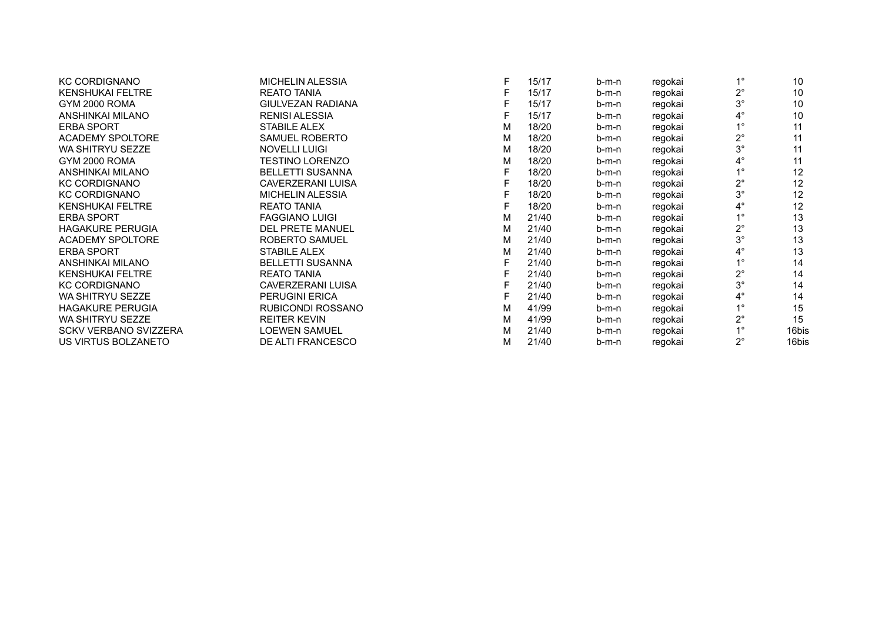| <b>KC CORDIGNANO</b>         | <b>MICHELIN ALESSIA</b>  | F | 15/17 | b-m-n   | regokai | $1^{\circ}$ | 10    |
|------------------------------|--------------------------|---|-------|---------|---------|-------------|-------|
| <b>KENSHUKAI FELTRE</b>      | <b>REATO TANIA</b>       |   | 15/17 | b-m-n   | regokai | $2^{\circ}$ | 10    |
| GYM 2000 ROMA                | <b>GIULVEZAN RADIANA</b> |   | 15/17 | b-m-n   | regokai | $3^{\circ}$ | 10    |
| ANSHINKAI MILANO             | <b>RENISI ALESSIA</b>    |   | 15/17 | $b-m-n$ | regokai | $4^{\circ}$ | 10    |
| <b>ERBA SPORT</b>            | <b>STABILE ALEX</b>      | M | 18/20 | b-m-n   | regokai | $1^{\circ}$ | 11    |
| <b>ACADEMY SPOLTORE</b>      | <b>SAMUEL ROBERTO</b>    | M | 18/20 | b-m-n   | regokai | $2^{\circ}$ | 11    |
| <b>WA SHITRYU SEZZE</b>      | <b>NOVELLI LUIGI</b>     | M | 18/20 | b-m-n   | regokai | $3^{\circ}$ | 11    |
| GYM 2000 ROMA                | <b>TESTINO LORENZO</b>   | M | 18/20 | b-m-n   | regokai | $4^{\circ}$ | 11    |
| ANSHINKAI MILANO             | <b>BELLETTI SUSANNA</b>  |   | 18/20 | b-m-n   | regokai | $1^{\circ}$ | 12    |
| <b>KC CORDIGNANO</b>         | <b>CAVERZERANI LUISA</b> |   | 18/20 | b-m-n   | regokai | $2^{\circ}$ | 12    |
| <b>KC CORDIGNANO</b>         | <b>MICHELIN ALESSIA</b>  |   | 18/20 | b-m-n   | regokai | $3^\circ$   | 12    |
| <b>KENSHUKAI FELTRE</b>      | <b>REATO TANIA</b>       |   | 18/20 | b-m-n   | regokai | $4^{\circ}$ | 12    |
| <b>ERBA SPORT</b>            | <b>FAGGIANO LUIGI</b>    | м | 21/40 | b-m-n   | regokai | $1^{\circ}$ | 13    |
| <b>HAGAKURE PERUGIA</b>      | <b>DEL PRETE MANUEL</b>  | M | 21/40 | b-m-n   | regokai | $2^{\circ}$ | 13    |
| <b>ACADEMY SPOLTORE</b>      | <b>ROBERTO SAMUEL</b>    | M | 21/40 | b-m-n   | regokai | $3^\circ$   | 13    |
| <b>ERBA SPORT</b>            | STABILE ALEX             | м | 21/40 | $b-m-n$ | regokai | $4^{\circ}$ | 13    |
| ANSHINKAI MILANO             | <b>BELLETTI SUSANNA</b>  |   | 21/40 | b-m-n   | regokai | $1^{\circ}$ | 14    |
| <b>KENSHUKAI FELTRE</b>      | <b>REATO TANIA</b>       |   | 21/40 | b-m-n   | regokai | $2^{\circ}$ | 14    |
| <b>KC CORDIGNANO</b>         | <b>CAVERZERANI LUISA</b> |   | 21/40 | b-m-n   | regokai | $3^\circ$   | 14    |
| <b>WA SHITRYU SEZZE</b>      | PERUGINI ERICA           |   | 21/40 | b-m-n   | regokai | $4^\circ$   | 14    |
| <b>HAGAKURE PERUGIA</b>      | RUBICONDI ROSSANO        | M | 41/99 | b-m-n   | regokai | $1^{\circ}$ | 15    |
| <b>WA SHITRYU SEZZE</b>      | <b>REITER KEVIN</b>      | M | 41/99 | $b-m-n$ | regokai | $2^{\circ}$ | 15    |
| <b>SCKV VERBANO SVIZZERA</b> | <b>LOEWEN SAMUEL</b>     | M | 21/40 | b-m-n   | regokai | $1^{\circ}$ | 16bis |
| US VIRTUS BOLZANETO          | DE ALTI FRANCESCO        | м | 21/40 | b-m-n   | regokai | $2^{\circ}$ | 16bis |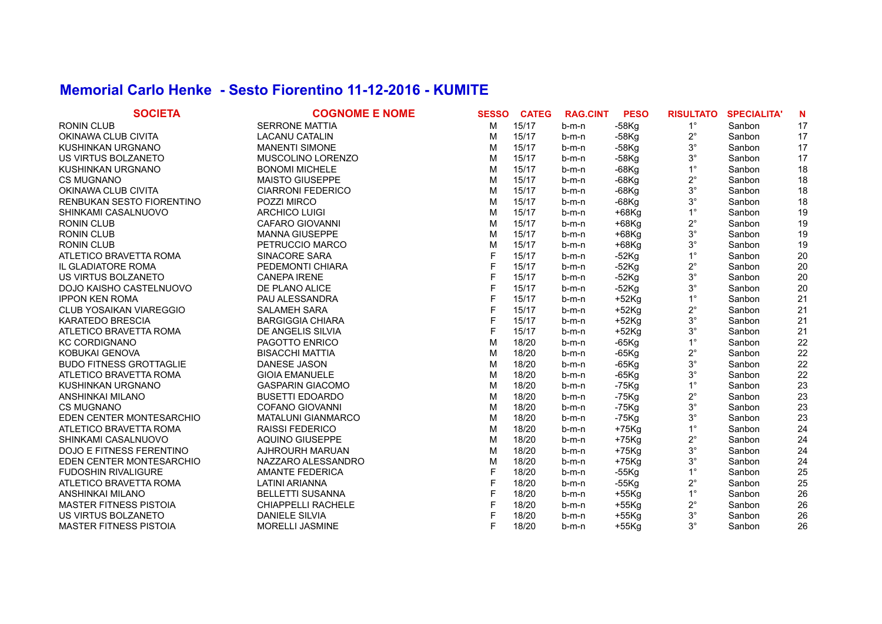## **Memorial Carlo Henke - Sesto Fiorentino 11-12-2016 - KUMITE**

| <b>SOCIETA</b>                  | <b>COGNOME E NOME</b>     | <b>SESSO</b> | <b>CATEG</b> | <b>RAG.CINT</b> | <b>PESO</b> | <b>RISULTATO</b> | <b>SPECIALITA'</b> | N  |
|---------------------------------|---------------------------|--------------|--------------|-----------------|-------------|------------------|--------------------|----|
| <b>RONIN CLUB</b>               | <b>SERRONE MATTIA</b>     | м            | 15/17        | $b-m-n$         | $-58$ Kg    | $1^{\circ}$      | Sanbon             | 17 |
| OKINAWA CLUB CIVITA             | <b>LACANU CATALIN</b>     | M            | 15/17        | $b-m-n$         | $-58$ Kg    | $2^{\circ}$      | Sanbon             | 17 |
| KUSHINKAN URGNANO               | <b>MANENTI SIMONE</b>     | M            | 15/17        | $b-m-n$         | $-58$ Kg    | $3^{\circ}$      | Sanbon             | 17 |
| US VIRTUS BOLZANETO             | MUSCOLINO LORENZO         | M            | 15/17        | $b-m-n$         | $-58$ Kg    | $3^{\circ}$      | Sanbon             | 17 |
| KUSHINKAN URGNANO               | <b>BONOMI MICHELE</b>     | M            | 15/17        | $b-m-n$         | $-68$ Kg    | $1^{\circ}$      | Sanbon             | 18 |
| <b>CS MUGNANO</b>               | <b>MAISTO GIUSEPPE</b>    | M            | 15/17        | $b-m-n$         | $-68$ Kg    | $2^{\circ}$      | Sanbon             | 18 |
| OKINAWA CLUB CIVITA             | <b>CIARRONI FEDERICO</b>  | м            | 15/17        | $b-m-n$         | $-68$ Kg    | $3^{\circ}$      | Sanbon             | 18 |
| RENBUKAN SESTO FIORENTINO       | POZZI MIRCO               | M            | 15/17        | b-m-n           | $-68$ Kg    | $3^{\circ}$      | Sanbon             | 18 |
| SHINKAMI CASALNUOVO             | <b>ARCHICO LUIGI</b>      | M            | 15/17        | b-m-n           | $+68$ Kg    | $1^{\circ}$      | Sanbon             | 19 |
| <b>RONIN CLUB</b>               | <b>CAFARO GIOVANNI</b>    | M            | 15/17        | b-m-n           | $+68$ Kg    | $2^{\circ}$      | Sanbon             | 19 |
| <b>RONIN CLUB</b>               | <b>MANNA GIUSEPPE</b>     | M            | 15/17        | $b-m-n$         | $+68$ Kg    | $3^{\circ}$      | Sanbon             | 19 |
| <b>RONIN CLUB</b>               | PETRUCCIO MARCO           | M            | 15/17        | $b-m-n$         | $+68$ Kg    | $3^{\circ}$      | Sanbon             | 19 |
| ATLETICO BRAVETTA ROMA          | SINACORE SARA             | F            | 15/17        | $b-m-n$         | $-52$ Kg    | $1^{\circ}$      | Sanbon             | 20 |
| IL GLADIATORE ROMA              | PEDEMONTI CHIARA          | F            | 15/17        | $b-m-n$         | $-52$ Kg    | $2^{\circ}$      | Sanbon             | 20 |
| US VIRTUS BOLZANETO             | <b>CANEPA IRENE</b>       | F            | 15/17        | $b-m-n$         | $-52$ Kg    | $3^{\circ}$      | Sanbon             | 20 |
| DOJO KAISHO CASTELNUOVO         | DE PLANO ALICE            | F            | 15/17        | $b-m-n$         | $-52$ Kg    | $3^{\circ}$      | Sanbon             | 20 |
| <b>IPPON KEN ROMA</b>           | PAU ALESSANDRA            | F            | 15/17        | $b-m-n$         | $+52$ Kg    | $1^{\circ}$      | Sanbon             | 21 |
| <b>CLUB YOSAIKAN VIAREGGIO</b>  | <b>SALAMEH SARA</b>       | F            | 15/17        | $b-m-n$         | $+52$ Kg    | $2^{\circ}$      | Sanbon             | 21 |
| <b>KARATEDO BRESCIA</b>         | <b>BARGIGGIA CHIARA</b>   | F            | 15/17        | $b-m-n$         | $+52$ Kg    | $3^{\circ}$      | Sanbon             | 21 |
| ATLETICO BRAVETTA ROMA          | DE ANGELIS SILVIA         | F            | 15/17        | $b-m-n$         | $+52$ Kg    | $3^\circ$        | Sanbon             | 21 |
| <b>KC CORDIGNANO</b>            | PAGOTTO ENRICO            | M            | 18/20        | b-m-n           | $-65$ Kg    | $1^{\circ}$      | Sanbon             | 22 |
| KOBUKAI GENOVA                  | <b>BISACCHI MATTIA</b>    | M            | 18/20        | b-m-n           | $-65$ Kg    | $2^{\circ}$      | Sanbon             | 22 |
| <b>BUDO FITNESS GROTTAGLIE</b>  | <b>DANESE JASON</b>       | M            | 18/20        | b-m-n           | $-65$ Kg    | $3^{\circ}$      | Sanbon             | 22 |
| ATLETICO BRAVETTA ROMA          | <b>GIOIA EMANUELE</b>     | M            | 18/20        | b-m-n           | $-65$ Kg    | $3^{\circ}$      | Sanbon             | 22 |
| KUSHINKAN URGNANO               | <b>GASPARIN GIACOMO</b>   | M            | 18/20        | $b-m-n$         | $-75$ Kg    | $1^{\circ}$      | Sanbon             | 23 |
| ANSHINKAI MILANO                | <b>BUSETTI EDOARDO</b>    | M            | 18/20        | $b-m-n$         | $-75$ Kg    | $2^{\circ}$      | Sanbon             | 23 |
| <b>CS MUGNANO</b>               | <b>COFANO GIOVANNI</b>    | M            | 18/20        | $b-m-n$         | $-75$ Kg    | $3^{\circ}$      | Sanbon             | 23 |
| EDEN CENTER MONTESARCHIO        | <b>MATALUNI GIANMARCO</b> | M            | 18/20        | $b-m-n$         | $-75$ Kg    | $3^{\circ}$      | Sanbon             | 23 |
| ATLETICO BRAVETTA ROMA          | <b>RAISSI FEDERICO</b>    | M            | 18/20        | $b-m-n$         | $+75$ Kg    | $1^{\circ}$      | Sanbon             | 24 |
| SHINKAMI CASALNUOVO             | AQUINO GIUSEPPE           | м            | 18/20        | $b-m-n$         | $+75$ Kg    | $2^{\circ}$      | Sanbon             | 24 |
| <b>DOJO E FITNESS FERENTINO</b> | AJHROURH MARUAN           | M            | 18/20        | $b-m-n$         | $+75$ Kg    | $3^{\circ}$      | Sanbon             | 24 |
| EDEN CENTER MONTESARCHIO        | NAZZARO ALESSANDRO        | M            | 18/20        | b-m-n           | $+75$ Kg    | $3^\circ$        | Sanbon             | 24 |
| <b>FUDOSHIN RIVALIGURE</b>      | AMANTE FEDERICA           | F            | 18/20        | b-m-n           | $-55$ Kg    | $1^{\circ}$      | Sanbon             | 25 |
| ATLETICO BRAVETTA ROMA          | <b>LATINI ARIANNA</b>     | F            | 18/20        | b-m-n           | $-55$ Kg    | $2^{\circ}$      | Sanbon             | 25 |
| ANSHINKAI MILANO                | <b>BELLETTI SUSANNA</b>   | F            | 18/20        | $b-m-n$         | $+55$ Kg    | $1^{\circ}$      | Sanbon             | 26 |
| <b>MASTER FITNESS PISTOIA</b>   | <b>CHIAPPELLI RACHELE</b> | F            | 18/20        | $b-m-n$         | $+55$ Kg    | $2^{\circ}$      | Sanbon             | 26 |
| US VIRTUS BOLZANETO             | <b>DANIELE SILVIA</b>     |              | 18/20        | $b-m-n$         | $+55Kg$     | $3^{\circ}$      | Sanbon             | 26 |
| <b>MASTER FITNESS PISTOIA</b>   | MORELLI JASMINE           | F            | 18/20        | $b-m-n$         | $+55Kg$     | $3^\circ$        | Sanbon             | 26 |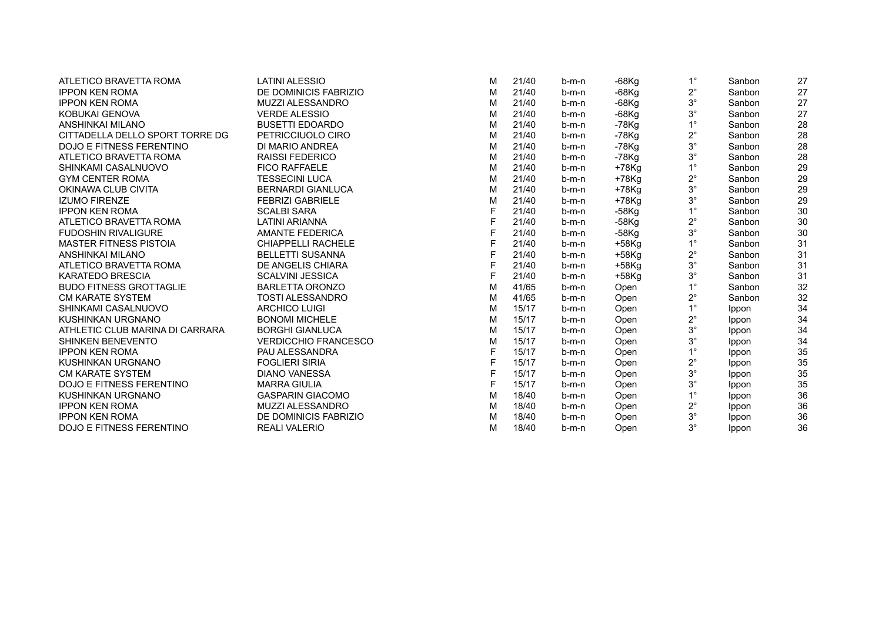| ATLETICO BRAVETTA ROMA          | <b>LATINI ALESSIO</b>       | м | 21/40 | b-m-n   | -68Kg    | $1^{\circ}$ | Sanbon       | 27 |
|---------------------------------|-----------------------------|---|-------|---------|----------|-------------|--------------|----|
| <b>IPPON KEN ROMA</b>           | DE DOMINICIS FABRIZIO       | м | 21/40 | b-m-n   | -68Kg    | $2^{\circ}$ | Sanbon       | 27 |
| <b>IPPON KEN ROMA</b>           | MUZZI ALESSANDRO            | м | 21/40 | $b-m-n$ | $-68$ Kg | $3^{\circ}$ | Sanbon       | 27 |
| KOBUKAI GENOVA                  | <b>VERDE ALESSIO</b>        | м | 21/40 | b-m-n   | -68Kg    | $3^\circ$   | Sanbon       | 27 |
| ANSHINKAI MILANO                | <b>BUSETTI EDOARDO</b>      | M | 21/40 | b-m-n   | -78Kg    | $1^{\circ}$ | Sanbon       | 28 |
| CITTADELLA DELLO SPORT TORRE DG | PETRICCIUOLO CIRO           | м | 21/40 | $b-m-n$ | -78Kg    | $2^{\circ}$ | Sanbon       | 28 |
| <b>DOJO E FITNESS FERENTINO</b> | DI MARIO ANDREA             | м | 21/40 | b-m-n   | -78Kg    | $3^\circ$   | Sanbon       | 28 |
| ATLETICO BRAVETTA ROMA          | <b>RAISSI FEDERICO</b>      | M | 21/40 | b-m-n   | -78Kg    | $3^\circ$   | Sanbon       | 28 |
| SHINKAMI CASALNUOVO             | <b>FICO RAFFAELE</b>        | м | 21/40 | b-m-n   | $+78$ Kg | $1^{\circ}$ | Sanbon       | 29 |
| <b>GYM CENTER ROMA</b>          | <b>TESSECINI LUCA</b>       | M | 21/40 | b-m-n   | +78Kg    | $2^{\circ}$ | Sanbon       | 29 |
| OKINAWA CLUB CIVITA             | <b>BERNARDI GIANLUCA</b>    | м | 21/40 | b-m-n   | $+78$ Kg | $3^\circ$   | Sanbon       | 29 |
| <b>IZUMO FIRENZE</b>            | <b>FEBRIZI GABRIELE</b>     | M | 21/40 | b-m-n   | $+78$ Kg | $3^\circ$   | Sanbon       | 29 |
| <b>IPPON KEN ROMA</b>           | <b>SCALBI SARA</b>          | F | 21/40 | b-m-n   | $-58$ Kg | $1^{\circ}$ | Sanbon       | 30 |
| ATLETICO BRAVETTA ROMA          | LATINI ARIANNA              |   | 21/40 | b-m-n   | -58Kg    | $2^{\circ}$ | Sanbon       | 30 |
| <b>FUDOSHIN RIVALIGURE</b>      | <b>AMANTE FEDERICA</b>      |   | 21/40 | b-m-n   | $-58$ Kg | $3^\circ$   | Sanbon       | 30 |
| <b>MASTER FITNESS PISTOIA</b>   | <b>CHIAPPELLI RACHELE</b>   | F | 21/40 | b-m-n   | $+58$ Kg | $1^{\circ}$ | Sanbon       | 31 |
| ANSHINKAI MILANO                | <b>BELLETTI SUSANNA</b>     | F | 21/40 | b-m-n   | $+58$ Kg | $2^{\circ}$ | Sanbon       | 31 |
| ATLETICO BRAVETTA ROMA          | DE ANGELIS CHIARA           |   | 21/40 | $b-m-n$ | $+58$ Kg | $3^\circ$   | Sanbon       | 31 |
| <b>KARATEDO BRESCIA</b>         | <b>SCALVINI JESSICA</b>     | F | 21/40 | b-m-n   | +58Kg    | $3^\circ$   | Sanbon       | 31 |
| <b>BUDO FITNESS GROTTAGLIE</b>  | <b>BARLETTA ORONZO</b>      | м | 41/65 | $b-m-n$ | Open     | $1^{\circ}$ | Sanbon       | 32 |
| <b>CM KARATE SYSTEM</b>         | <b>TOSTI ALESSANDRO</b>     | м | 41/65 | $b-m-n$ | Open     | $2^{\circ}$ | Sanbon       | 32 |
| SHINKAMI CASALNUOVO             | <b>ARCHICO LUIGI</b>        | м | 15/17 | b-m-n   | Open     | $1^{\circ}$ | <b>Ippon</b> | 34 |
| KUSHINKAN URGNANO               | <b>BONOMI MICHELE</b>       | м | 15/17 | b-m-n   | Open     | $2^{\circ}$ | <b>Ippon</b> | 34 |
| ATHLETIC CLUB MARINA DI CARRARA | <b>BORGHI GIANLUCA</b>      | M | 15/17 | b-m-n   | Open     | $3^\circ$   | <b>Ippon</b> | 34 |
| <b>SHINKEN BENEVENTO</b>        | <b>VERDICCHIO FRANCESCO</b> | м | 15/17 | b-m-n   | Open     | $3^\circ$   | Ippon        | 34 |
| <b>IPPON KEN ROMA</b>           | PAU ALESSANDRA              | F | 15/17 | b-m-n   | Open     | $1^{\circ}$ | <b>Ippon</b> | 35 |
| KUSHINKAN URGNANO               | <b>FOGLIERI SIRIA</b>       | F | 15/17 | b-m-n   | Open     | $2^{\circ}$ | Ippon        | 35 |
| <b>CM KARATE SYSTEM</b>         | <b>DIANO VANESSA</b>        | F | 15/17 | b-m-n   | Open     | $3^\circ$   | Ippon        | 35 |
| <b>DOJO E FITNESS FERENTINO</b> | <b>MARRA GIULIA</b>         | F | 15/17 | $b-m-n$ | Open     | $3^\circ$   | <b>Ippon</b> | 35 |
| KUSHINKAN URGNANO               | <b>GASPARIN GIACOMO</b>     | M | 18/40 | b-m-n   | Open     | $1^{\circ}$ | Ippon        | 36 |
| <b>IPPON KEN ROMA</b>           | <b>MUZZI ALESSANDRO</b>     | м | 18/40 | b-m-n   | Open     | $2^{\circ}$ | Ippon        | 36 |
| <b>IPPON KEN ROMA</b>           | DE DOMINICIS FABRIZIO       | м | 18/40 | $b-m-n$ | Open     | $3^\circ$   | Ippon        | 36 |
| <b>DOJO E FITNESS FERENTINO</b> | <b>REALI VALERIO</b>        | М | 18/40 | b-m-n   | Open     | $3^\circ$   | Ippon        | 36 |